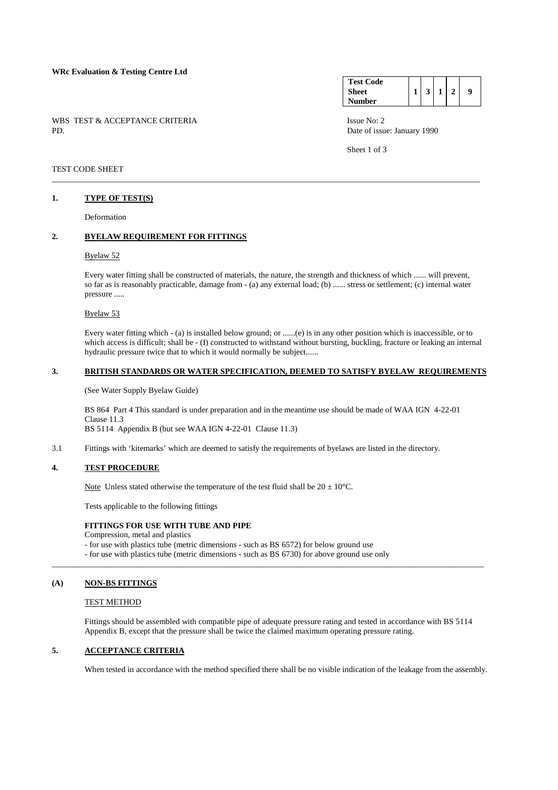## **WRc Evaluation & Testing Centre Ltd**

WBS TEST & ACCEPTANCE CRITERIA ISSUE No: 2<br>PD Date of issue

#### **Test Code Sheet Number**   $1 \mid 3 \mid 1 \mid 2 \mid 9$

Date of issue: January 1990

Sheet 1 of 3

## TEST CODE SHEET

#### **1. TYPE OF TEST(S)**

Deformation

## **2. BYELAW REQUIREMENT FOR FITTINGS**

#### Byelaw 52

 Every water fitting shall be constructed of materials, the nature, the strength and thickness of which ...... will prevent, so far as is reasonably practicable, damage from - (a) any external load; (b) ...... stress or settlement; (c) internal water pressure .....

\_\_\_\_\_\_\_\_\_\_\_\_\_\_\_\_\_\_\_\_\_\_\_\_\_\_\_\_\_\_\_\_\_\_\_\_\_\_\_\_\_\_\_\_\_\_\_\_\_\_\_\_\_\_\_\_\_\_\_\_\_\_\_\_\_\_\_\_\_\_\_\_\_\_\_\_\_\_\_\_\_\_\_\_\_\_\_\_\_\_\_\_\_\_\_\_\_\_\_\_\_\_\_

#### Byelaw 53

 Every water fitting which - (a) is installed below ground; or ......(e) is in any other position which is inaccessible, or to which access is difficult; shall be - (I) constructed to withstand without bursting, buckling, fracture or leaking an internal hydraulic pressure twice that to which it would normally be subject......

#### **3. BRITISH STANDARDS OR WATER SPECIFICATION, DEEMED TO SATISFY BYELAW REQUIREMENTS**

(See Water Supply Byelaw Guide)

 BS 864 Part 4 This standard is under preparation and in the meantime use should be made of WAA IGN 4-22-01 Clause 11.3 BS 5114 Appendix B (but see WAA IGN 4-22-01 Clause 11.3)

3.1 Fittings with 'kitemarks' which are deemed to satisfy the requirements of byelaws are listed in the directory.

## **4. TEST PROCEDURE**

Note Unless stated otherwise the temperature of the test fluid shall be  $20 \pm 10^{\circ}$ C.

Tests applicable to the following fittings

#### **FITTINGS FOR USE WITH TUBE AND PIPE**

Compression, metal and plastics

- for use with plastics tube (metric dimensions - such as BS 6572) for below ground use

- for use with plastics tube (metric dimensions - such as BS 6730) for above ground use only

## **(A) NON-BS FITTINGS**

#### TEST METHOD

Fittings should be assembled with compatible pipe of adequate pressure rating and tested in accordance with BS 5114 Appendix B, except that the pressure shall be twice the claimed maximum operating pressure rating.

\_\_\_\_\_\_\_\_\_\_\_\_\_\_\_\_\_\_\_\_\_\_\_\_\_\_\_\_\_\_\_\_\_\_\_\_\_\_\_\_\_\_\_\_\_\_\_\_\_\_\_\_\_\_\_\_\_\_\_\_\_\_\_\_\_\_\_\_\_\_\_\_\_\_\_\_\_\_\_\_\_\_\_\_\_\_\_\_\_\_\_\_\_\_\_\_\_\_\_\_\_\_\_\_

## **5. ACCEPTANCE CRITERIA**

When tested in accordance with the method specified there shall be no visible indication of the leakage from the assembly.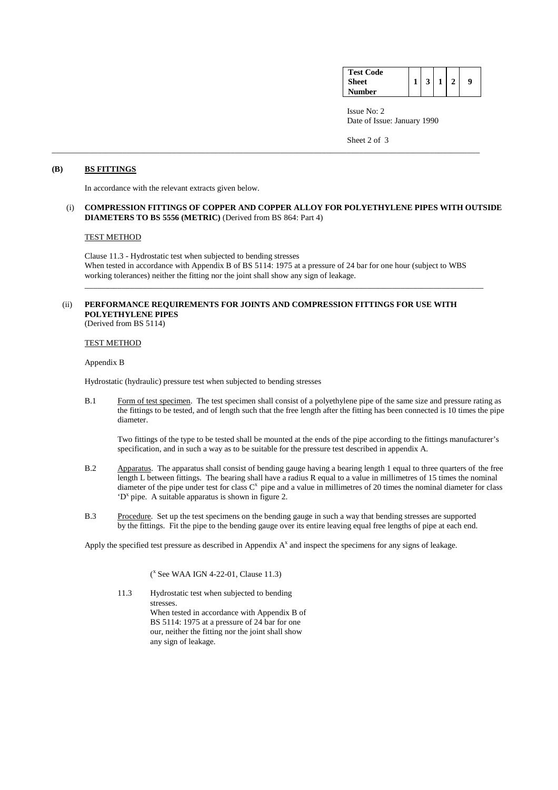| <b>Test Code</b> |                |                |   |
|------------------|----------------|----------------|---|
| <b>Sheet</b>     | 3 <sup>1</sup> | 1 <sup>1</sup> | 9 |
| <b>Number</b>    |                |                |   |

 Issue No: 2 Date of Issue: January 1990

Sheet 2 of 3

## **(B) BS FITTINGS**

In accordance with the relevant extracts given below.

#### (i) **COMPRESSION FITTINGS OF COPPER AND COPPER ALLOY FOR POLYETHYLENE PIPES WITH OUTSIDE DIAMETERS TO BS 5556 (METRIC)** (Derived from BS 864: Part 4)

\_\_\_\_\_\_\_\_\_\_\_\_\_\_\_\_\_\_\_\_\_\_\_\_\_\_\_\_\_\_\_\_\_\_\_\_\_\_\_\_\_\_\_\_\_\_\_\_\_\_\_\_\_\_\_\_\_\_\_\_\_\_\_\_\_\_\_\_\_\_\_\_\_\_\_\_\_\_\_\_\_\_\_\_\_\_\_\_\_\_\_\_\_\_\_\_\_\_\_\_\_\_\_

### TEST METHOD

 Clause 11.3 - Hydrostatic test when subjected to bending stresses When tested in accordance with Appendix B of BS 5114: 1975 at a pressure of 24 bar for one hour (subject to WBS working tolerances) neither the fitting nor the joint shall show any sign of leakage.

\_\_\_\_\_\_\_\_\_\_\_\_\_\_\_\_\_\_\_\_\_\_\_\_\_\_\_\_\_\_\_\_\_\_\_\_\_\_\_\_\_\_\_\_\_\_\_\_\_\_\_\_\_\_\_\_\_\_\_\_\_\_\_\_\_\_\_\_\_\_\_\_\_\_\_\_\_\_\_\_\_\_\_\_\_\_\_\_\_\_\_\_\_\_\_\_

## (ii) **PERFORMANCE REQUIREMENTS FOR JOINTS AND COMPRESSION FITTINGS FOR USE WITH POLYETHYLENE PIPES** (Derived from BS 5114)

#### TEST METHOD

Appendix B

Hydrostatic (hydraulic) pressure test when subjected to bending stresses

B.1 Form of test specimen. The test specimen shall consist of a polyethylene pipe of the same size and pressure rating as the fittings to be tested, and of length such that the free length after the fitting has been connected is 10 times the pipe diameter.

Two fittings of the type to be tested shall be mounted at the ends of the pipe according to the fittings manufacturer's specification, and in such a way as to be suitable for the pressure test described in appendix A.

- B.2 Apparatus. The apparatus shall consist of bending gauge having a bearing length 1 equal to three quarters of the free length L between fittings. The bearing shall have a radius R equal to a value in millimetres of 15 times the nominal diameter of the pipe under test for class  $C^x$  pipe and a value in millimetres of 20 times the nominal diameter for class 'D<sup>x</sup> pipe. A suitable apparatus is shown in figure 2.
- B.3 Procedure. Set up the test specimens on the bending gauge in such a way that bending stresses are supported by the fittings. Fit the pipe to the bending gauge over its entire leaving equal free lengths of pipe at each end.

Apply the specified test pressure as described in Appendix  $A<sup>x</sup>$  and inspect the specimens for any signs of leakage.

 $\mathcal{L}^{\mathbf{x}}$  $(^x$  See WAA IGN 4-22-01, Clause 11.3)

> 11.3 Hydrostatic test when subjected to bending stresses. When tested in accordance with Appendix B of BS 5114: 1975 at a pressure of 24 bar for one our, neither the fitting nor the joint shall show any sign of leakage.